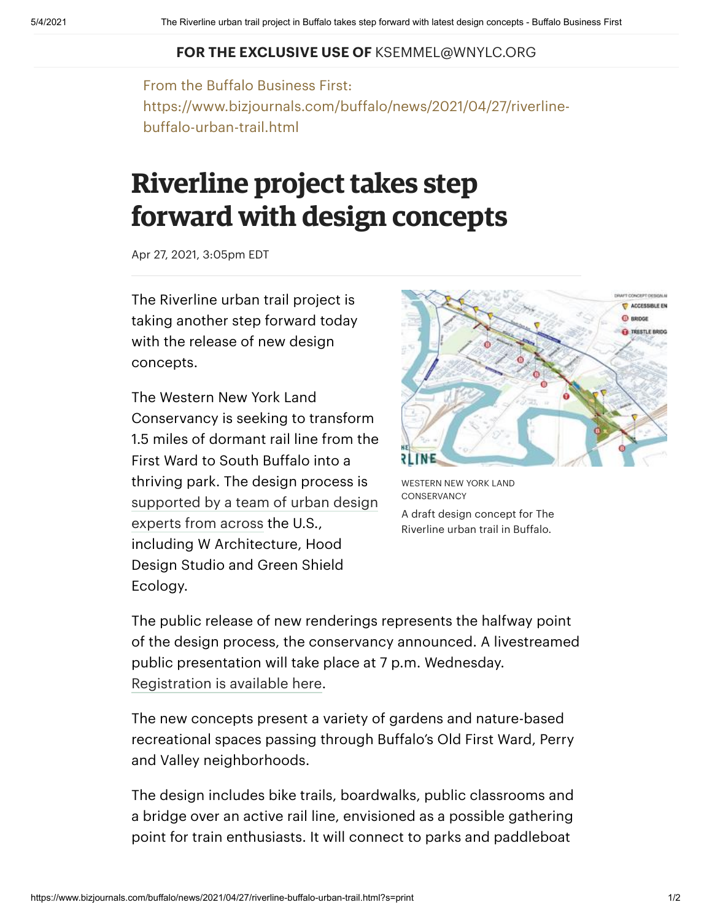## **FOR THE EXCLUSIVE USE OF** KSEMMEL@WNYLC.ORG

From the Buffalo Business First: https://www.bizjournals.com/buffalo/news/2021/04/27/riverlinebuffalo-urban-trail.html

## **Riverline** project takes step **forward with design concepts**

Apr 27, 2021, 3:05pm EDT

The Riverline urban trail project is taking another step forward today with the release of new design concepts.

The Western New York Land Conservancy is seeking to transform 1.5 miles of dormant rail line from the First Ward to South Buffalo into a thriving park. The design process is [supported](https://www.bizjournals.com/buffalo/news/2020/08/26/riverline.html) by a team of urban design experts from across the U.S., including W Architecture, Hood Design Studio and Green Shield Ecology.



WESTERN NEW YORK LAND **CONSERVANCY** A draft design concept for The Riverline urban trail in Buffalo.

The public release of new renderings represents the halfway point of the design process, the conservancy announced. A livestreamed public presentation will take place at 7 p.m. Wednesday. [Registration](https://www.wnylc.org/firstlook) is available here.

The new concepts present a variety of gardens and nature-based recreational spaces passing through Buffalo's Old First Ward, Perry and Valley neighborhoods.

The design includes bike trails, boardwalks, public classrooms and a bridge over an active rail line, envisioned as a possible gathering point for train enthusiasts. It will connect to parks and paddleboat